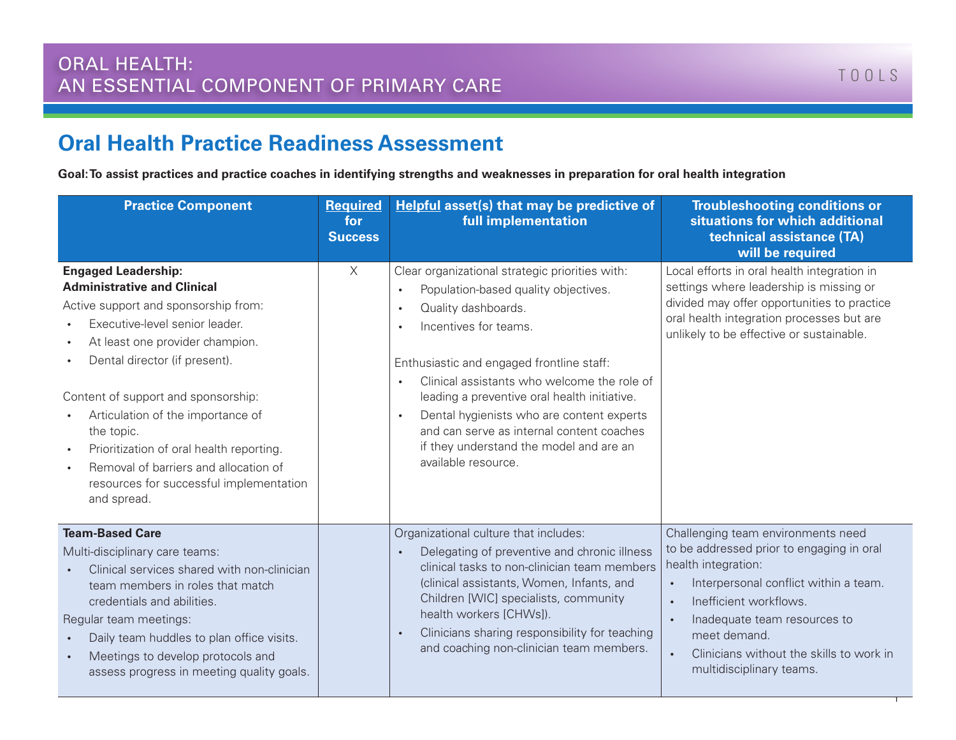## **Oral Health Practice Readiness Assessment**

**Goal: To assist practices and practice coaches in identifying strengths and weaknesses in preparation for oral health integration**

| <b>Practice Component</b>                                                                                                                                                                                                                                                                                                                                                                                                                               | <b>Required</b><br>for<br><b>Success</b> | <b>Helpful asset(s) that may be predictive of</b><br>full implementation                                                                                                                                                                                                                                                                                                                                                                                                               | <b>Troubleshooting conditions or</b><br>situations for which additional<br>technical assistance (TA)<br>will be required                                                                                                                                                                                                                 |
|---------------------------------------------------------------------------------------------------------------------------------------------------------------------------------------------------------------------------------------------------------------------------------------------------------------------------------------------------------------------------------------------------------------------------------------------------------|------------------------------------------|----------------------------------------------------------------------------------------------------------------------------------------------------------------------------------------------------------------------------------------------------------------------------------------------------------------------------------------------------------------------------------------------------------------------------------------------------------------------------------------|------------------------------------------------------------------------------------------------------------------------------------------------------------------------------------------------------------------------------------------------------------------------------------------------------------------------------------------|
| <b>Engaged Leadership:</b><br><b>Administrative and Clinical</b><br>Active support and sponsorship from:<br>Executive-level senior leader.<br>At least one provider champion.<br>Dental director (if present).<br>Content of support and sponsorship:<br>Articulation of the importance of<br>the topic.<br>Prioritization of oral health reporting.<br>Removal of barriers and allocation of<br>resources for successful implementation<br>and spread. | $\times$                                 | Clear organizational strategic priorities with:<br>Population-based quality objectives.<br>$\bullet$<br>Quality dashboards.<br>$\bullet$<br>Incentives for teams.<br>Enthusiastic and engaged frontline staff:<br>Clinical assistants who welcome the role of<br>leading a preventive oral health initiative.<br>Dental hygienists who are content experts<br>$\bullet$<br>and can serve as internal content coaches<br>if they understand the model and are an<br>available resource. | Local efforts in oral health integration in<br>settings where leadership is missing or<br>divided may offer opportunities to practice<br>oral health integration processes but are<br>unlikely to be effective or sustainable.                                                                                                           |
| <b>Team-Based Care</b><br>Multi-disciplinary care teams:<br>Clinical services shared with non-clinician<br>team members in roles that match<br>credentials and abilities.<br>Regular team meetings:<br>Daily team huddles to plan office visits.<br>Meetings to develop protocols and<br>assess progress in meeting quality goals.                                                                                                                      |                                          | Organizational culture that includes:<br>Delegating of preventive and chronic illness<br>$\bullet$<br>clinical tasks to non-clinician team members<br>(clinical assistants, Women, Infants, and<br>Children [WIC] specialists, community<br>health workers [CHWs]).<br>Clinicians sharing responsibility for teaching<br>$\bullet$<br>and coaching non-clinician team members.                                                                                                         | Challenging team environments need<br>to be addressed prior to engaging in oral<br>health integration:<br>Interpersonal conflict within a team.<br>Inefficient workflows.<br>$\bullet$<br>Inadequate team resources to<br>$\bullet$<br>meet demand.<br>Clinicians without the skills to work in<br>$\bullet$<br>multidisciplinary teams. |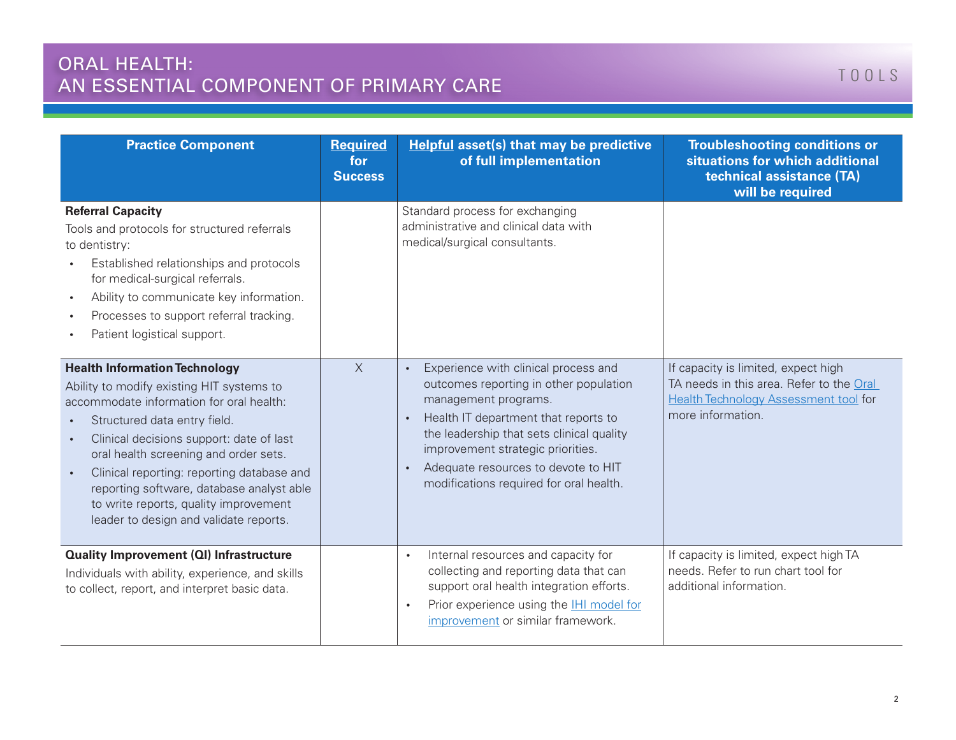| <b>Practice Component</b>                                                                                                                                                                                                                                                                                                                                                                                                        | <b>Required</b><br>for<br><b>Success</b> | <b>Helpful asset(s) that may be predictive</b><br>of full implementation                                                                                                                                                                                                                                           | <b>Troubleshooting conditions or</b><br>situations for which additional<br>technical assistance (TA)<br>will be required                             |
|----------------------------------------------------------------------------------------------------------------------------------------------------------------------------------------------------------------------------------------------------------------------------------------------------------------------------------------------------------------------------------------------------------------------------------|------------------------------------------|--------------------------------------------------------------------------------------------------------------------------------------------------------------------------------------------------------------------------------------------------------------------------------------------------------------------|------------------------------------------------------------------------------------------------------------------------------------------------------|
| <b>Referral Capacity</b><br>Tools and protocols for structured referrals<br>to dentistry:<br>Established relationships and protocols<br>for medical-surgical referrals.<br>Ability to communicate key information.<br>Processes to support referral tracking.<br>Patient logistical support.                                                                                                                                     |                                          | Standard process for exchanging<br>administrative and clinical data with<br>medical/surgical consultants.                                                                                                                                                                                                          |                                                                                                                                                      |
| <b>Health Information Technology</b><br>Ability to modify existing HIT systems to<br>accommodate information for oral health:<br>Structured data entry field.<br>Clinical decisions support: date of last<br>oral health screening and order sets.<br>Clinical reporting: reporting database and<br>reporting software, database analyst able<br>to write reports, quality improvement<br>leader to design and validate reports. | $\times$                                 | Experience with clinical process and<br>outcomes reporting in other population<br>management programs.<br>Health IT department that reports to<br>the leadership that sets clinical quality<br>improvement strategic priorities.<br>Adequate resources to devote to HIT<br>modifications required for oral health. | If capacity is limited, expect high<br>TA needs in this area. Refer to the Oral<br><b>Health Technology Assessment tool for</b><br>more information. |
| <b>Quality Improvement (QI) Infrastructure</b><br>Individuals with ability, experience, and skills<br>to collect, report, and interpret basic data.                                                                                                                                                                                                                                                                              |                                          | Internal resources and capacity for<br>$\bullet$<br>collecting and reporting data that can<br>support oral health integration efforts.<br>Prior experience using the <b>IHI model for</b><br>$\bullet$<br>improvement or similar framework.                                                                        | If capacity is limited, expect high TA<br>needs. Refer to run chart tool for<br>additional information.                                              |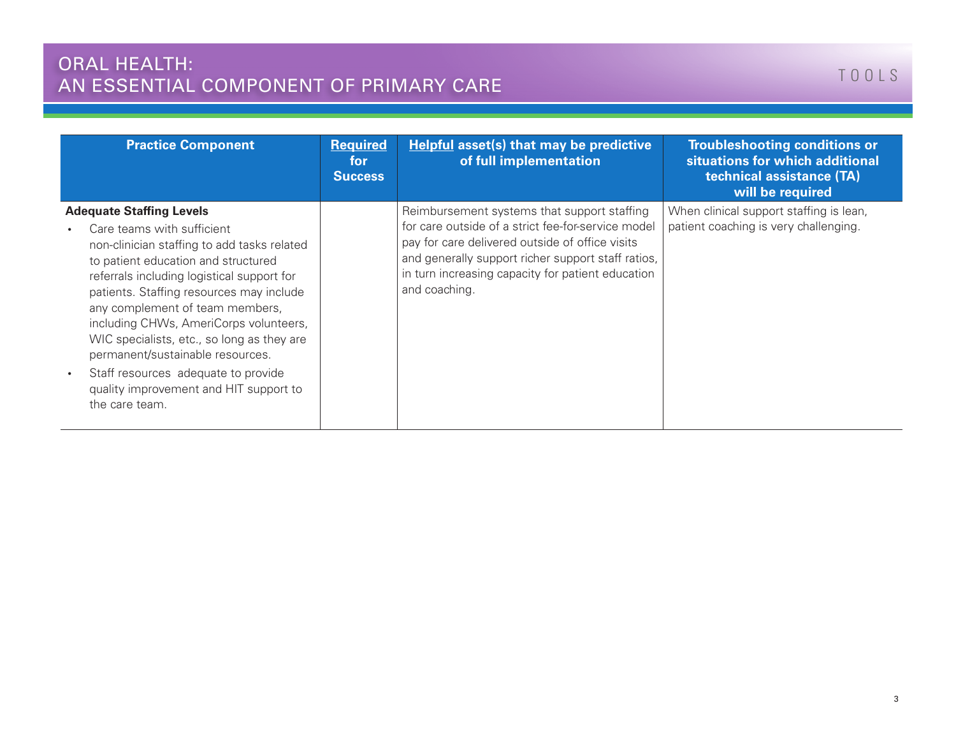## ORAL HEALTH: AN ESSENTIAL COMPONENT OF PRIMARY CARE

| <b>Practice Component</b>                                                                                                                                                                                                                                                                                                                                                                                                                                                                                       | <b>Required</b><br>for<br><b>Success</b> | <b>Helpful asset(s) that may be predictive</b><br>of full implementation                                                                                                                                                                                                         | <b>Troubleshooting conditions or</b><br>situations for which additional<br>technical assistance (TA)<br>will be required |
|-----------------------------------------------------------------------------------------------------------------------------------------------------------------------------------------------------------------------------------------------------------------------------------------------------------------------------------------------------------------------------------------------------------------------------------------------------------------------------------------------------------------|------------------------------------------|----------------------------------------------------------------------------------------------------------------------------------------------------------------------------------------------------------------------------------------------------------------------------------|--------------------------------------------------------------------------------------------------------------------------|
| <b>Adequate Staffing Levels</b><br>Care teams with sufficient<br>non-clinician staffing to add tasks related<br>to patient education and structured<br>referrals including logistical support for<br>patients. Staffing resources may include<br>any complement of team members,<br>including CHWs, AmeriCorps volunteers,<br>WIC specialists, etc., so long as they are<br>permanent/sustainable resources.<br>Staff resources adequate to provide<br>quality improvement and HIT support to<br>the care team. |                                          | Reimbursement systems that support staffing<br>for care outside of a strict fee-for-service model<br>pay for care delivered outside of office visits<br>and generally support richer support staff ratios,<br>in turn increasing capacity for patient education<br>and coaching. | When clinical support staffing is lean,<br>patient coaching is very challenging.                                         |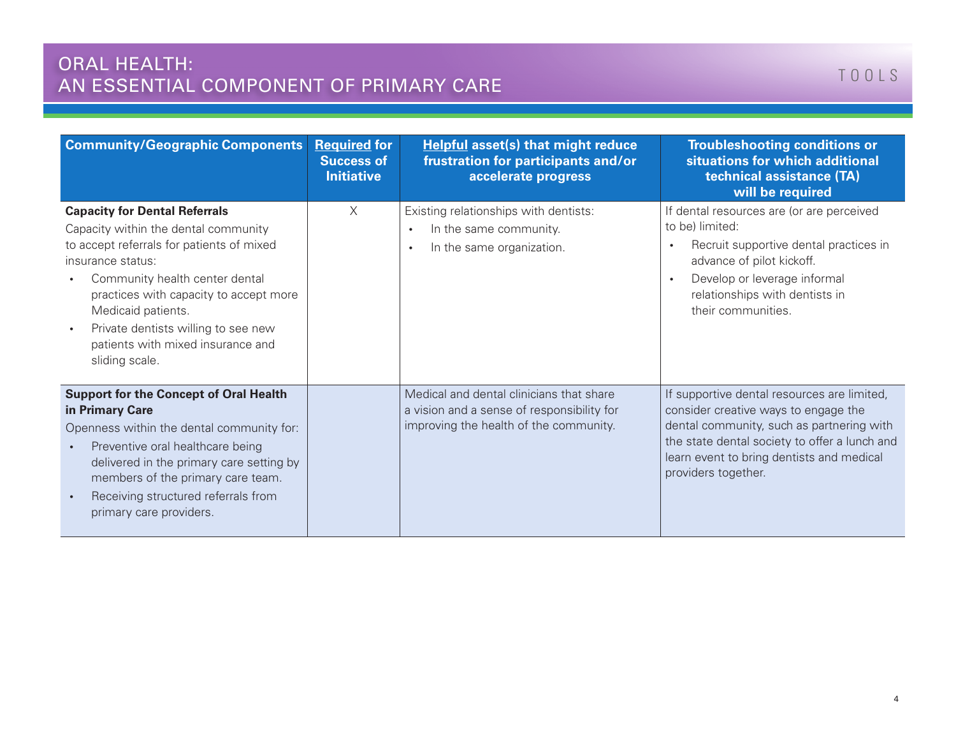| <b>Community/Geographic Components</b>                                                                                                                                                                                                                                                                                                         | <b>Required for</b><br><b>Success of</b><br><b>Initiative</b> | <b>Helpful asset(s) that might reduce</b><br>frustration for participants and/or<br>accelerate progress                          | <b>Troubleshooting conditions or</b><br>situations for which additional<br>technical assistance (TA)<br>will be required                                                                                                                              |
|------------------------------------------------------------------------------------------------------------------------------------------------------------------------------------------------------------------------------------------------------------------------------------------------------------------------------------------------|---------------------------------------------------------------|----------------------------------------------------------------------------------------------------------------------------------|-------------------------------------------------------------------------------------------------------------------------------------------------------------------------------------------------------------------------------------------------------|
| <b>Capacity for Dental Referrals</b><br>Capacity within the dental community<br>to accept referrals for patients of mixed<br>insurance status:<br>Community health center dental<br>practices with capacity to accept more<br>Medicaid patients.<br>Private dentists willing to see new<br>patients with mixed insurance and<br>sliding scale. | $\times$                                                      | Existing relationships with dentists:<br>In the same community.<br>$\bullet$<br>In the same organization.                        | If dental resources are (or are perceived<br>to be) limited:<br>Recruit supportive dental practices in<br>$\bullet$<br>advance of pilot kickoff.<br>Develop or leverage informal<br>$\bullet$<br>relationships with dentists in<br>their communities. |
| <b>Support for the Concept of Oral Health</b><br>in Primary Care<br>Openness within the dental community for:<br>Preventive oral healthcare being<br>delivered in the primary care setting by<br>members of the primary care team.<br>Receiving structured referrals from<br>primary care providers.                                           |                                                               | Medical and dental clinicians that share<br>a vision and a sense of responsibility for<br>improving the health of the community. | If supportive dental resources are limited,<br>consider creative ways to engage the<br>dental community, such as partnering with<br>the state dental society to offer a lunch and<br>learn event to bring dentists and medical<br>providers together. |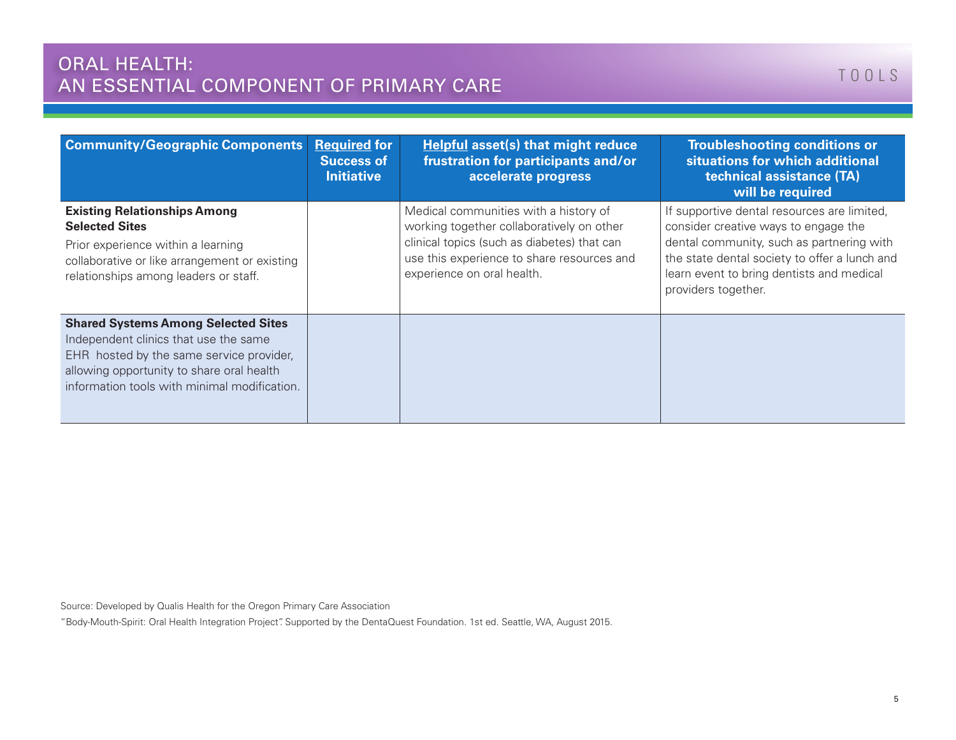| <b>Community/Geographic Components</b>                                                                                                                                                                                       | <b>Required for</b><br><b>Success of</b><br><b>Initiative</b> | Helpful asset(s) that might reduce<br>frustration for participants and/or<br>accelerate progress                                                                                                              | <b>Troubleshooting conditions or</b><br>situations for which additional<br>technical assistance (TA)<br>will be required                                                                                                                              |
|------------------------------------------------------------------------------------------------------------------------------------------------------------------------------------------------------------------------------|---------------------------------------------------------------|---------------------------------------------------------------------------------------------------------------------------------------------------------------------------------------------------------------|-------------------------------------------------------------------------------------------------------------------------------------------------------------------------------------------------------------------------------------------------------|
| <b>Existing Relationships Among</b><br><b>Selected Sites</b><br>Prior experience within a learning<br>collaborative or like arrangement or existing<br>relationships among leaders or staff.                                 |                                                               | Medical communities with a history of<br>working together collaboratively on other<br>clinical topics (such as diabetes) that can<br>use this experience to share resources and<br>experience on oral health. | If supportive dental resources are limited,<br>consider creative ways to engage the<br>dental community, such as partnering with<br>the state dental society to offer a lunch and<br>learn event to bring dentists and medical<br>providers together. |
| <b>Shared Systems Among Selected Sites</b><br>Independent clinics that use the same<br>EHR hosted by the same service provider,<br>allowing opportunity to share oral health<br>information tools with minimal modification. |                                                               |                                                                                                                                                                                                               |                                                                                                                                                                                                                                                       |

Source: Developed by Qualis Health for the Oregon Primary Care Association

"Body-Mouth-Spirit: Oral Health Integration Project". Supported by the DentaQuest Foundation. 1st ed. Seattle, WA, August 2015.